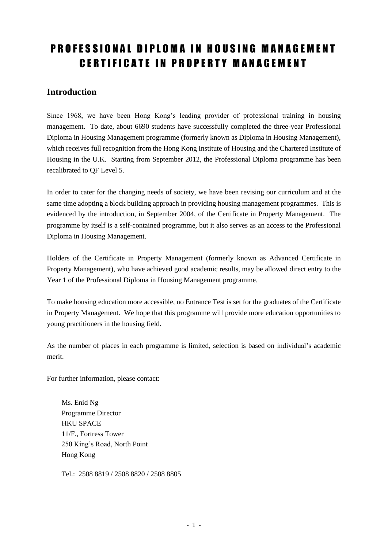# PROFESSIONAL DIPLOMA IN HOUSING MANAGEMENT **CERTIFICATE IN PROPERTY MANAGEMENT**

### **Introduction**

Since 1968, we have been Hong Kong's leading provider of professional training in housing management. To date, about 6690 students have successfully completed the three-year Professional Diploma in Housing Management programme (formerly known as Diploma in Housing Management), which receives full recognition from the Hong Kong Institute of Housing and the Chartered Institute of Housing in the U.K. Starting from September 2012, the Professional Diploma programme has been recalibrated to QF Level 5.

In order to cater for the changing needs of society, we have been revising our curriculum and at the same time adopting a block building approach in providing housing management programmes. This is evidenced by the introduction, in September 2004, of the Certificate in Property Management. The programme by itself is a self-contained programme, but it also serves as an access to the Professional Diploma in Housing Management.

Holders of the Certificate in Property Management (formerly known as Advanced Certificate in Property Management), who have achieved good academic results, may be allowed direct entry to the Year 1 of the Professional Diploma in Housing Management programme.

To make housing education more accessible, no Entrance Test is set for the graduates of the Certificate in Property Management. We hope that this programme will provide more education opportunities to young practitioners in the housing field.

As the number of places in each programme is limited, selection is based on individual's academic merit.

For further information, please contact:

Ms. Enid Ng Programme Director HKU SPACE 11/F., Fortress Tower 250 King's Road, North Point Hong Kong

Tel.: 2508 8819 / 2508 8820 / 2508 8805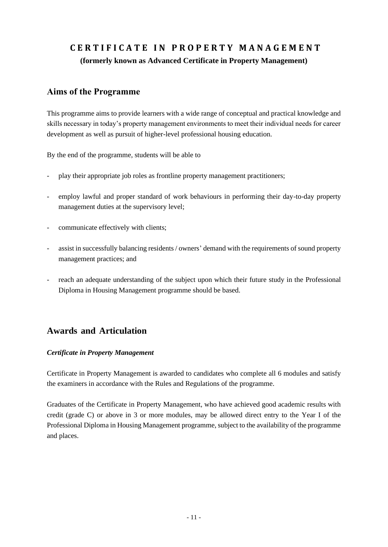## **C E R T I F I C A T E I N P R O P E R T Y M A N A G E M E N T (formerly known as Advanced Certificate in Property Management)**

### **Aims of the Programme**

This programme aims to provide learners with a wide range of conceptual and practical knowledge and skills necessary in today's property management environments to meet their individual needs for career development as well as pursuit of higher-level professional housing education.

By the end of the programme, students will be able to

- play their appropriate job roles as frontline property management practitioners;
- employ lawful and proper standard of work behaviours in performing their day-to-day property management duties at the supervisory level;
- communicate effectively with clients;
- assist in successfully balancing residents / owners' demand with the requirements of sound property management practices; and
- reach an adequate understanding of the subject upon which their future study in the Professional Diploma in Housing Management programme should be based.

### **Awards and Articulation**

#### *Certificate in Property Management*

Certificate in Property Management is awarded to candidates who complete all 6 modules and satisfy the examiners in accordance with the Rules and Regulations of the programme.

Graduates of the Certificate in Property Management, who have achieved good academic results with credit (grade C) or above in 3 or more modules, may be allowed direct entry to the Year I of the Professional Diploma in Housing Management programme, subject to the availability of the programme and places.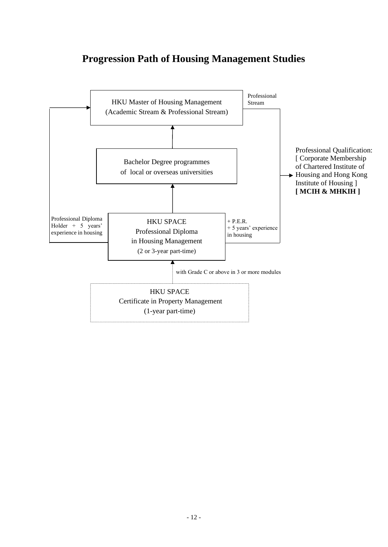## **Progression Path of Housing Management Studies**

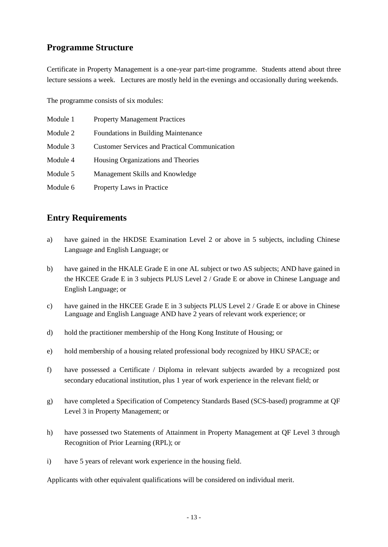### **Programme Structure**

Certificate in Property Management is a one-year part-time programme. Students attend about three lecture sessions a week. Lectures are mostly held in the evenings and occasionally during weekends.

The programme consists of six modules:

| Module 1 | <b>Property Management Practices</b>                 |
|----------|------------------------------------------------------|
| Module 2 | <b>Foundations in Building Maintenance</b>           |
| Module 3 | <b>Customer Services and Practical Communication</b> |
| Module 4 | Housing Organizations and Theories                   |
| Module 5 | Management Skills and Knowledge                      |
| Module 6 | Property Laws in Practice                            |

### **Entry Requirements**

- a) have gained in the HKDSE Examination Level 2 or above in 5 subjects, including Chinese Language and English Language; or
- b) have gained in the HKALE Grade E in one AL subject or two AS subjects; AND have gained in the HKCEE Grade E in 3 subjects PLUS Level 2 / Grade E or above in Chinese Language and English Language; or
- c) have gained in the HKCEE Grade E in 3 subjects PLUS Level 2 / Grade E or above in Chinese Language and English Language AND have 2 years of relevant work experience; or
- d) hold the practitioner membership of the Hong Kong Institute of Housing; or
- e) hold membership of a housing related professional body recognized by HKU SPACE; or
- f) have possessed a Certificate / Diploma in relevant subjects awarded by a recognized post secondary educational institution, plus 1 year of work experience in the relevant field; or
- g) have completed a Specification of Competency Standards Based (SCS-based) programme at QF Level 3 in Property Management; or
- h) have possessed two Statements of Attainment in Property Management at QF Level 3 through Recognition of Prior Learning (RPL); or
- i) have 5 years of relevant work experience in the housing field.

Applicants with other equivalent qualifications will be considered on individual merit.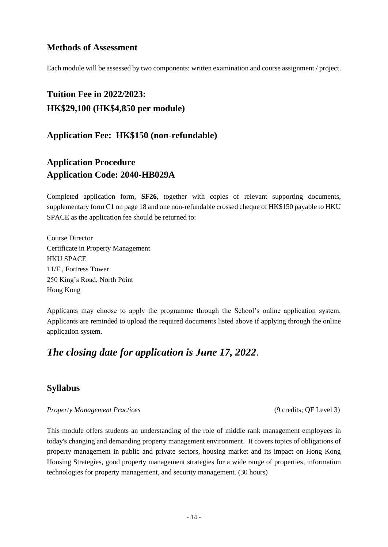#### **Methods of Assessment**

Each module will be assessed by two components: written examination and course assignment / project.

## **Tuition Fee in 2022/2023: HK\$29,100 (HK\$4,850 per module)**

**Application Fee: HK\$150 (non-refundable)**

## **Application Procedure Application Code: 2040-HB029A**

Completed application form, **SF26**, together with copies of relevant supporting documents, supplementary form C1 on page 18 and one non-refundable crossed cheque of HK\$150 payable to HKU SPACE as the application fee should be returned to:

Course Director Certificate in Property Management HKU SPACE 11/F., Fortress Tower 250 King's Road, North Point Hong Kong

Applicants may choose to apply the programme through the School's online application system. Applicants are reminded to upload the required documents listed above if applying through the online application system.

### *The closing date for application is June 17, 2022*.

### **Syllabus**

#### *Property Management Practices* (9 credits; QF Level 3)

This module offers students an understanding of the role of middle rank management employees in today's changing and demanding property management environment. It covers topics of obligations of property management in public and private sectors, housing market and its impact on Hong Kong Housing Strategies, good property management strategies for a wide range of properties, information technologies for property management, and security management. (30 hours)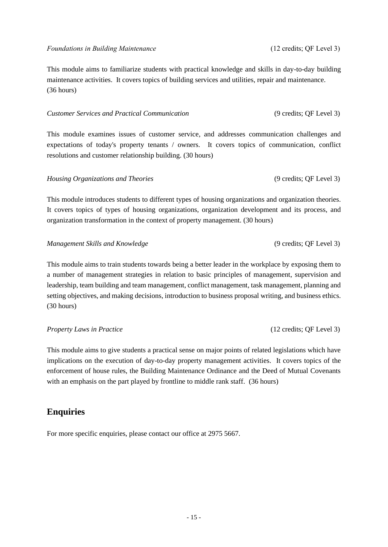This module aims to familiarize students with practical knowledge and skills in day-to-day building maintenance activities. It covers topics of building services and utilities, repair and maintenance. (36 hours)

#### *Customer Services and Practical Communication* (9 credits; QF Level 3)

This module examines issues of customer service, and addresses communication challenges and expectations of today's property tenants / owners. It covers topics of communication, conflict resolutions and customer relationship building. (30 hours)

#### *Housing Organizations and Theories* (9 credits; QF Level 3)

This module introduces students to different types of housing organizations and organization theories. It covers topics of types of housing organizations, organization development and its process, and organization transformation in the context of property management. (30 hours)

*Management Skills and Knowledge* (9 credits; QF Level 3)

This module aims to train students towards being a better leader in the workplace by exposing them to a number of management strategies in relation to basic principles of management, supervision and leadership, team building and team management, conflict management, task management, planning and setting objectives, and making decisions, introduction to business proposal writing, and business ethics. (30 hours)

#### *Property Laws in Practice* (12 credits; QF Level 3)

This module aims to give students a practical sense on major points of related legislations which have implications on the execution of day-to-day property management activities. It covers topics of the enforcement of house rules, the Building Maintenance Ordinance and the Deed of Mutual Covenants with an emphasis on the part played by frontline to middle rank staff. (36 hours)

#### **Enquiries**

For more specific enquiries, please contact our office at 2975 5667.